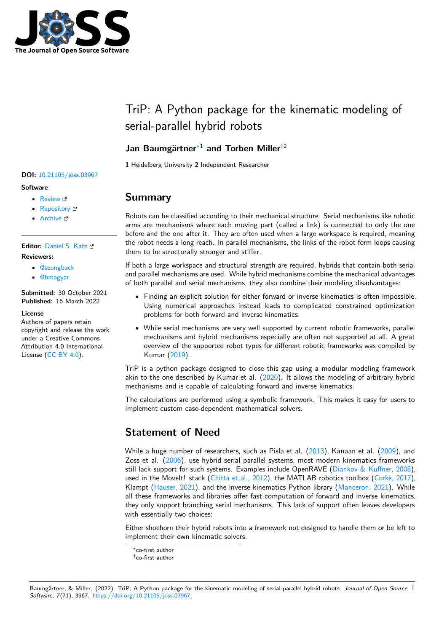

# TriP: A Python package for the kinematic modeling of serial-parallel hybrid robots

### **Jan Baumgärtner**[∗1](#page-4-0) **and Torben Miller**[†2](#page-4-0)

**1** Heidelberg University **2** Independent Researcher

## **Summary**

Robots can be classified according to their mechanical structure. Serial mechanisms like robotic arms are mechanisms where each moving part (called a link) is connected to only the one before and the one after it. They are often used when a large workspace is required, meaning the robot needs a long reach. In parallel mechanisms, the links of the robot form loops causing them to be structurally stronger and stiffer.

If both a large workspace and structural strength are required, hybrids that contain both serial and parallel mechanisms are used. While hybrid mechanisms combine the mechanical advantages of both parallel and serial mechanisms, they also combine their modeling disadvantages:

- Finding an explicit solution for either forward or inverse kinematics is often impossible. Using numerical approaches instead leads to complicated constrained optimization problems for both forward and inverse kinematics.
- While serial mechanisms are very well supported by current robotic frameworks, parallel mechanisms and hybrid mechanisms especially are often not supported at all. A great overview of the supported robot types for different robotic frameworks was compiled by Kumar [\(2019\)](#page-4-1).

TriP is a python package designed to close this gap using a modular modeling framework akin to the one described by Kumar et al. [\(2020\)](#page-4-2). It allows the modeling of arbitrary hybrid mechanisms and is capable of calculating forward and inverse kinematics.

The calculations are performed using a symbolic framework. This makes it easy for users to implement custom case-dependent mathematical solvers.

# **Statement of Need**

While a huge number of researchers, such as Pisla et al. [\(2013\)](#page-4-3), Kanaan et al. [\(2009\)](#page-4-4), and Zoss et al. [\(2006\)](#page-4-5), use hybrid serial parallel systems, most modern kinematics frameworks still lack support for such systems. Examples include OpenRAVE [\(Diankov & Kuffner, 2008\)](#page-3-0), used in the Movelt! stack [\(Chitta et al., 2012\)](#page-3-1), the MATLAB robotics toolbox [\(Corke, 2017\)](#page-3-2), Klampt [\(Hauser, 2021\)](#page-4-6), and the inverse kinematics Python library [\(Manceron, 2021\)](#page-4-7). While all these frameworks and libraries offer fast computation of forward and inverse kinematics, they only support branching serial mechanisms. This lack of support often leaves developers with essentially two choices:

Either shoehorn their hybrid robots into a framework not designed to handle them or be left to implement their own kinematic solvers.

#### Baumgärtner, & Miller. (2022). TriP: A Python package for the kinematic modeling of serial-parallel hybrid robots. Journal of Open Source 1 Software, 7(71), 3967. [https://doi.org/10.21105/joss.03967.](https://doi.org/10.21105/joss.03967)

#### **DOI:** [10.21105/joss.03967](https://doi.org/10.21105/joss.03967)

#### **Software**

- [Review](https://github.com/openjournals/joss-reviews/issues/3967) &
- [Repository](https://github.com/TriPed-Robot/TriP) &
- [Archive](https://doi.org/10.5281/zenodo.6360087) &

**Editor:** [Daniel S. Katz](http://danielskatz.org/) **Reviewers:**

- [@seungback](https://github.com/seungback)
- [@bmagyar](https://github.com/bmagyar)

**Submitted:** 30 October 2021 **Published:** 16 March 2022

#### **License**

Authors of papers retain copyright and release the work under a Creative Commons Attribution 4.0 International License [\(CC BY 4.0\)](https://creativecommons.org/licenses/by/4.0/).

<sup>∗</sup>co-first author

<sup>†</sup>co-first author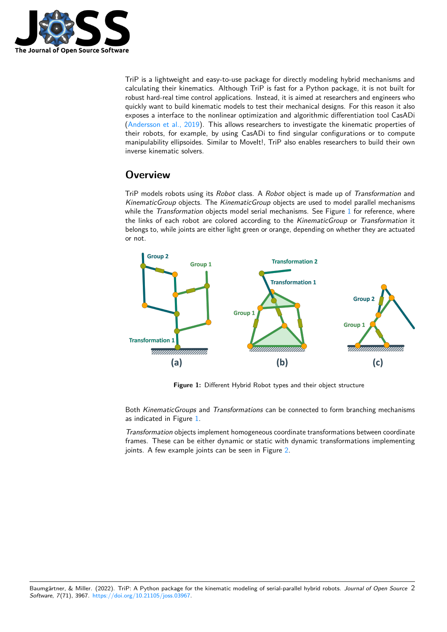

TriP is a lightweight and easy-to-use package for directly modeling hybrid mechanisms and calculating their kinematics. Although TriP is fast for a Python package, it is not built for robust hard-real time control applications. Instead, it is aimed at researchers and engineers who quickly want to build kinematic models to test their mechanical designs. For this reason it also exposes a interface to the nonlinear optimization and algorithmic differentiation tool CasADi [\(Andersson et al., 2019\)](#page-3-3). This allows researchers to investigate the kinematic properties of their robots, for example, by using CasADi to find singular configurations or to compute manipulability ellipsoides. Similar to MoveIt!, TriP also enables researchers to build their own inverse kinematic solvers.

# **Overview**

TriP models robots using its Robot class. A Robot object is made up of Transformation and KinematicGroup objects. The KinematicGroup objects are used to model parallel mechanisms while the Transformation objects model serial mechanisms. See Figure [1](#page-1-0) for reference, where the links of each robot are colored according to the KinematicGroup or Transformation it belongs to, while joints are either light green or orange, depending on whether they are actuated or not.

<span id="page-1-0"></span>

**Figure 1:** Different Hybrid Robot types and their object structure

Both KinematicGroups and Transformations can be connected to form branching mechanisms as indicated in Figure [1.](#page-1-0)

Transformation objects implement homogeneous coordinate transformations between coordinate frames. These can be either dynamic or static with dynamic transformations implementing joints. A few example joints can be seen in Figure [2.](#page-2-0)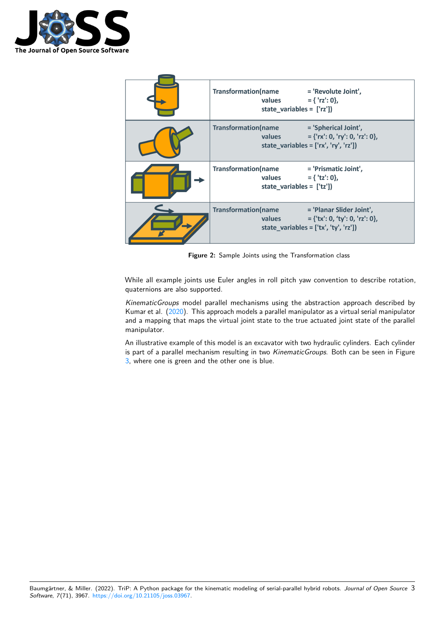

<span id="page-2-0"></span>

| Transformation(name = 'Revolute Joint',<br>values $= { 'rz': 0 }$ ,<br>state_variables = $['rz']$ )                                                 |
|-----------------------------------------------------------------------------------------------------------------------------------------------------|
| <b>Transformation(name</b><br>= 'Spherical Joint',<br>$= \{ 'rx': 0, 'ry': 0, 'rz': 0 \}, \}$<br>values<br>state_variables = $['rx', 'ry', 'rz'])$  |
| <b>Transformation(name</b><br>= 'Prismatic Joint',<br>$=$ { 'tz': 0},<br>values<br>state_variables = $['tz$ <sup>'</sup> ])                         |
| <b>Transformation(name</b><br>= 'Planar Slider Joint',<br>$= \{ 'tx': 0, 'ty': 0, 'rz': 0 \},$<br>values<br>state_variables = $['tx', 'ty', 'rz'])$ |

**Figure 2:** Sample Joints using the Transformation class

While all example joints use Euler angles in roll pitch yaw convention to describe rotation, quaternions are also supported.

KinematicGroups model parallel mechanisms using the abstraction approach described by Kumar et al. [\(2020\)](#page-4-2). This approach models a parallel manipulator as a virtual serial manipulator and a mapping that maps the virtual joint state to the true actuated joint state of the parallel manipulator.

An illustrative example of this model is an excavator with two hydraulic cylinders. Each cylinder is part of a parallel mechanism resulting in two KinematicGroups. Both can be seen in Figure [3,](#page-3-4) where one is green and the other one is blue.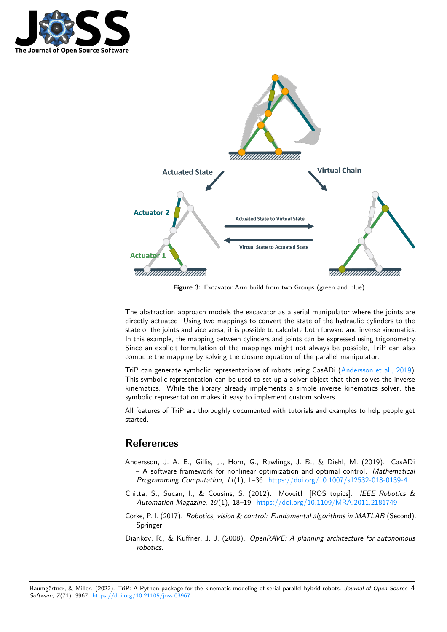

<span id="page-3-4"></span>

**Figure 3:** Excavator Arm build from two Groups (green and blue)

The abstraction approach models the excavator as a serial manipulator where the joints are directly actuated. Using two mappings to convert the state of the hydraulic cylinders to the state of the joints and vice versa, it is possible to calculate both forward and inverse kinematics. In this example, the mapping between cylinders and joints can be expressed using trigonometry. Since an explicit formulation of the mappings might not always be possible, TriP can also compute the mapping by solving the closure equation of the parallel manipulator.

TriP can generate symbolic representations of robots using CasADi [\(Andersson et al., 2019\)](#page-3-3). This symbolic representation can be used to set up a solver object that then solves the inverse kinematics. While the library already implements a simple inverse kinematics solver, the symbolic representation makes it easy to implement custom solvers.

All features of TriP are thoroughly documented with tutorials and examples to help people get started.

### **References**

- <span id="page-3-3"></span>Andersson, J. A. E., Gillis, J., Horn, G., Rawlings, J. B., & Diehl, M. (2019). CasADi – A software framework for nonlinear optimization and optimal control. Mathematical Programming Computation, 11(1), 1–36. <https://doi.org/10.1007/s12532-018-0139-4>
- <span id="page-3-1"></span>Chitta, S., Sucan, I., & Cousins, S. (2012). Moveit! [ROS topics]. IEEE Robotics & Automation Magazine, 19(1), 18–19. <https://doi.org/10.1109/MRA.2011.2181749>
- <span id="page-3-2"></span>Corke, P. I. (2017). Robotics, vision & control: Fundamental algorithms in MATLAB (Second). Springer.
- <span id="page-3-0"></span>Diankov, R., & Kuffner, J. J. (2008). OpenRAVE: A planning architecture for autonomous robotics.